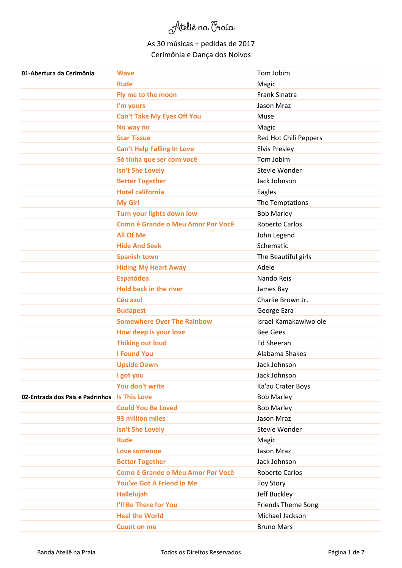| 01-Abertura da Cerimônia                     | <b>Wave</b>                              | Tom Jobim                 |
|----------------------------------------------|------------------------------------------|---------------------------|
|                                              | <b>Rude</b>                              | Magic                     |
|                                              | Fly me to the moon                       | <b>Frank Sinatra</b>      |
|                                              | I'm yours                                | Jason Mraz                |
|                                              | <b>Can't Take My Eyes Off You</b>        | Muse                      |
|                                              | No way no                                | Magic                     |
|                                              | <b>Scar Tissue</b>                       | Red Hot Chili Peppers     |
|                                              | <b>Can't Help Falling In Love</b>        | <b>Elvis Presley</b>      |
|                                              | Só tinha que ser com você                | Tom Jobim                 |
|                                              | <b>Isn't She Lovely</b>                  | Stevie Wonder             |
|                                              | <b>Better Together</b>                   | Jack Johnson              |
|                                              | <b>Hotel california</b>                  | Eagles                    |
|                                              | <b>My Girl</b>                           | The Temptations           |
|                                              | Turn your lights down low                | <b>Bob Marley</b>         |
|                                              | <b>Como é Grande o Meu Amor Por Você</b> | <b>Roberto Carlos</b>     |
|                                              | <b>All Of Me</b>                         | John Legend               |
|                                              | <b>Hide And Seek</b>                     | Schematic                 |
|                                              | <b>Spanish town</b>                      | The Beautiful girls       |
|                                              | <b>Hiding My Heart Away</b>              | Adele                     |
|                                              | Espatódea                                | Nando Reis                |
|                                              | <b>Hold back in the river</b>            | James Bay                 |
|                                              | Céu azul                                 | Charlie Brown Jr.         |
|                                              | <b>Budapest</b>                          | George Ezra               |
|                                              | <b>Somewhere Over The Rainbow</b>        | Israel Kamakawiwo'ole     |
|                                              | How deep is your love                    | <b>Bee Gees</b>           |
|                                              | <b>Thiking out loud</b>                  | <b>Ed Sheeran</b>         |
|                                              | <b>I Found You</b>                       | Alabama Shakes            |
|                                              | <b>Upside Down</b>                       | Jack Johnson              |
|                                              | I got you                                | Jack Johnson              |
|                                              | You don't write                          | Ka'au Crater Boys         |
| 02-Entrada dos Pais e Padrinhos Is This Love |                                          | <b>Bob Marley</b>         |
|                                              | <b>Could You Be Loved</b>                | <b>Bob Marley</b>         |
|                                              | 93 million miles                         | Jason Mraz                |
|                                              | <b>Isn't She Lovely</b>                  | Stevie Wonder             |
|                                              | <b>Rude</b>                              | Magic                     |
|                                              | Love someone                             | Jason Mraz                |
|                                              | <b>Better Together</b>                   | Jack Johnson              |
|                                              | <b>Como é Grande o Meu Amor Por Você</b> | <b>Roberto Carlos</b>     |
|                                              | You've Got A Friend In Me                | <b>Toy Story</b>          |
|                                              | Hallelujah                               | Jeff Buckley              |
|                                              | I'll Be There for You                    | <b>Friends Theme Song</b> |
|                                              | <b>Heal the World</b>                    | Michael Jackson           |
|                                              | <b>Count on me</b>                       | <b>Bruno Mars</b>         |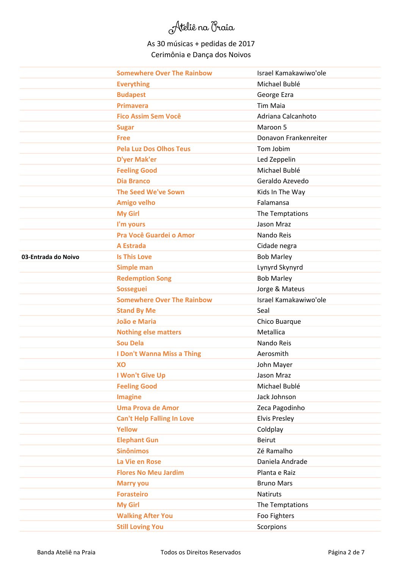|                     | <b>Somewhere Over The Rainbow</b> | Israel Kamakawiwo'ole |
|---------------------|-----------------------------------|-----------------------|
|                     | <b>Everything</b>                 | Michael Bublé         |
|                     | <b>Budapest</b>                   | George Ezra           |
|                     | <b>Primavera</b>                  | <b>Tim Maia</b>       |
|                     | <b>Fico Assim Sem Você</b>        | Adriana Calcanhoto    |
|                     | <b>Sugar</b>                      | Maroon 5              |
|                     | <b>Free</b>                       | Donavon Frankenreiter |
|                     | <b>Pela Luz Dos Olhos Teus</b>    | Tom Jobim             |
|                     | <b>D'yer Mak'er</b>               | Led Zeppelin          |
|                     | <b>Feeling Good</b>               | Michael Bublé         |
|                     | <b>Dia Branco</b>                 | Geraldo Azevedo       |
|                     | <b>The Seed We've Sown</b>        | Kids In The Way       |
|                     | <b>Amigo velho</b>                | Falamansa             |
|                     | <b>My Girl</b>                    | The Temptations       |
|                     | I'm yours                         | Jason Mraz            |
|                     | Pra Você Guardei o Amor           | Nando Reis            |
|                     | <b>A Estrada</b>                  | Cidade negra          |
| 03-Entrada do Noivo | <b>Is This Love</b>               | <b>Bob Marley</b>     |
|                     | <b>Simple man</b>                 | Lynyrd Skynyrd        |
|                     | <b>Redemption Song</b>            | <b>Bob Marley</b>     |
|                     | <b>Sosseguei</b>                  | Jorge & Mateus        |
|                     | <b>Somewhere Over The Rainbow</b> | Israel Kamakawiwo'ole |
|                     | <b>Stand By Me</b>                | Seal                  |
|                     | João e Maria                      | Chico Buarque         |
|                     | <b>Nothing else matters</b>       | Metallica             |
|                     | <b>Sou Dela</b>                   | Nando Reis            |
|                     | I Don't Wanna Miss a Thing        | Aerosmith             |
|                     | XO                                | John Mayer            |
|                     | I Won't Give Up                   | Jason Mraz            |
|                     | <b>Feeling Good</b>               | Michael Bublé         |
|                     | <b>Imagine</b>                    | Jack Johnson          |
|                     | <b>Uma Prova de Amor</b>          | Zeca Pagodinho        |
|                     | <b>Can't Help Falling In Love</b> | <b>Elvis Presley</b>  |
|                     | <b>Yellow</b>                     | Coldplay              |
|                     | <b>Elephant Gun</b>               | Beirut                |
|                     | <b>Sinônimos</b>                  | Zé Ramalho            |
|                     | La Vie en Rose                    | Daniela Andrade       |
|                     | <b>Flores No Meu Jardim</b>       | Planta e Raiz         |
|                     |                                   |                       |
|                     | <b>Marry you</b>                  | <b>Bruno Mars</b>     |
|                     | <b>Forasteiro</b>                 | Natiruts              |
|                     | <b>My Girl</b>                    | The Temptations       |
|                     | <b>Walking After You</b>          | Foo Fighters          |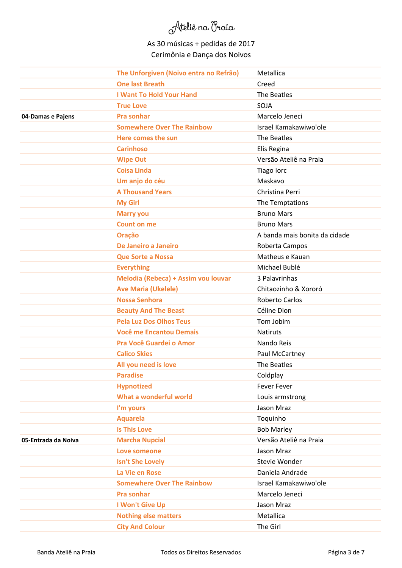|                     | The Unforgiven (Noivo entra no Refrão) | Metallica                     |
|---------------------|----------------------------------------|-------------------------------|
|                     | <b>One last Breath</b>                 | Creed                         |
|                     | <b>I Want To Hold Your Hand</b>        | The Beatles                   |
|                     | <b>True Love</b>                       | SOJA                          |
| 04-Damas e Pajens   | <b>Pra sonhar</b>                      | Marcelo Jeneci                |
|                     | <b>Somewhere Over The Rainbow</b>      | Israel Kamakawiwo'ole         |
|                     | Here comes the sun                     | The Beatles                   |
|                     | <b>Carinhoso</b>                       | Elis Regina                   |
|                     | <b>Wipe Out</b>                        | Versão Ateliê na Praia        |
|                     | <b>Coisa Linda</b>                     | Tiago lorc                    |
|                     | Um anjo do céu                         | Maskavo                       |
|                     | <b>A Thousand Years</b>                | Christina Perri               |
|                     | <b>My Girl</b>                         | The Temptations               |
|                     | <b>Marry you</b>                       | <b>Bruno Mars</b>             |
|                     | <b>Count on me</b>                     | <b>Bruno Mars</b>             |
|                     | Oração                                 | A banda mais bonita da cidade |
|                     | De Janeiro a Janeiro                   | Roberta Campos                |
|                     | <b>Que Sorte a Nossa</b>               | Matheus e Kauan               |
|                     | <b>Everything</b>                      | Michael Bublé                 |
|                     | Melodia (Rebeca) + Assim vou louvar    | 3 Palavrinhas                 |
|                     | <b>Ave Maria (Ukelele)</b>             | Chitaozinho & Xororó          |
|                     | <b>Nossa Senhora</b>                   | <b>Roberto Carlos</b>         |
|                     | <b>Beauty And The Beast</b>            | Céline Dion                   |
|                     | <b>Pela Luz Dos Olhos Teus</b>         | Tom Jobim                     |
|                     | <b>Você me Encantou Demais</b>         | <b>Natiruts</b>               |
|                     | Pra Você Guardei o Amor                | Nando Reis                    |
|                     | <b>Calico Skies</b>                    | Paul McCartney                |
|                     | All you need is love                   | The Beatles                   |
|                     | <b>Paradise</b>                        | Coldplay                      |
|                     | <b>Hypnotized</b>                      | <b>Fever Fever</b>            |
|                     | What a wonderful world                 | Louis armstrong               |
|                     | I'm yours                              | Jason Mraz                    |
|                     | <b>Aquarela</b>                        | Toquinho                      |
|                     | <b>Is This Love</b>                    | <b>Bob Marley</b>             |
| 05-Entrada da Noiva | <b>Marcha Nupcial</b>                  | Versão Ateliê na Praia        |
|                     | Love someone                           | Jason Mraz                    |
|                     | <b>Isn't She Lovely</b>                | Stevie Wonder                 |
|                     | La Vie en Rose                         | Daniela Andrade               |
|                     | <b>Somewhere Over The Rainbow</b>      | Israel Kamakawiwo'ole         |
|                     | <b>Pra sonhar</b>                      | Marcelo Jeneci                |
|                     | I Won't Give Up                        | Jason Mraz                    |
|                     | <b>Nothing else matters</b>            | Metallica                     |
|                     | <b>City And Colour</b>                 | The Girl                      |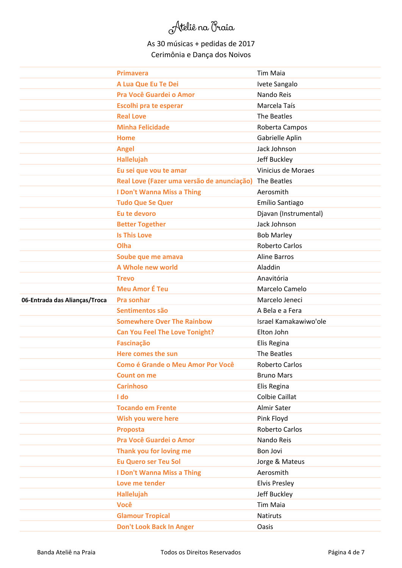|                               | <b>Primavera</b>                                       | <b>Tim Maia</b>       |
|-------------------------------|--------------------------------------------------------|-----------------------|
|                               | A Lua Que Eu Te Dei                                    | Ivete Sangalo         |
|                               | Pra Você Guardei o Amor                                | Nando Reis            |
|                               | <b>Escolhi pra te esperar</b>                          | Marcela Taís          |
|                               | <b>Real Love</b>                                       | The Beatles           |
|                               | <b>Minha Felicidade</b>                                | Roberta Campos        |
|                               | <b>Home</b>                                            | Gabrielle Aplin       |
|                               | <b>Angel</b>                                           | Jack Johnson          |
|                               | <b>Hallelujah</b>                                      | Jeff Buckley          |
|                               | Eu sei que vou te amar                                 | Vinicius de Moraes    |
|                               | Real Love (Fazer uma versão de anunciação) The Beatles |                       |
|                               | I Don't Wanna Miss a Thing                             | Aerosmith             |
|                               | <b>Tudo Que Se Quer</b>                                | Emílio Santiago       |
|                               | Eu te devoro                                           | Djavan (Instrumental) |
|                               | <b>Better Together</b>                                 | Jack Johnson          |
|                               | <b>Is This Love</b>                                    | <b>Bob Marley</b>     |
|                               | Olha                                                   | <b>Roberto Carlos</b> |
|                               | Soube que me amava                                     | <b>Aline Barros</b>   |
|                               | A Whole new world                                      | Aladdin               |
|                               | <b>Trevo</b>                                           | Anavitória            |
|                               | <b>Meu Amor É Teu</b>                                  | Marcelo Camelo        |
| 06-Entrada das Alianças/Troca | <b>Pra sonhar</b>                                      | Marcelo Jeneci        |
|                               | Sentimentos são                                        | A Bela e a Fera       |
|                               | <b>Somewhere Over The Rainbow</b>                      | Israel Kamakawiwo'ole |
|                               | <b>Can You Feel The Love Tonight?</b>                  | Elton John            |
|                               | <b>Fascinação</b>                                      | Elis Regina           |
|                               | Here comes the sun                                     | The Beatles           |
|                               | <b>Como é Grande o Meu Amor Por Você</b>               | <b>Roberto Carlos</b> |
|                               | <b>Count on me</b>                                     | <b>Bruno Mars</b>     |
|                               | <b>Carinhoso</b>                                       | Elis Regina           |
|                               | I do                                                   | <b>Colbie Caillat</b> |
|                               | <b>Tocando em Frente</b>                               | Almir Sater           |
|                               | Wish you were here                                     | Pink Floyd            |
|                               | <b>Proposta</b>                                        | Roberto Carlos        |
|                               | Pra Você Guardei o Amor                                | Nando Reis            |
|                               | Thank you for loving me                                | Bon Jovi              |
|                               | <b>Eu Quero ser Teu Sol</b>                            | Jorge & Mateus        |
|                               | I Don't Wanna Miss a Thing                             | Aerosmith             |
|                               | Love me tender                                         | <b>Elvis Presley</b>  |
|                               | <b>Hallelujah</b>                                      | Jeff Buckley          |
|                               | <b>Você</b>                                            | Tim Maia              |
|                               | <b>Glamour Tropical</b>                                | <b>Natiruts</b>       |
|                               | <b>Don't Look Back In Anger</b>                        | Oasis                 |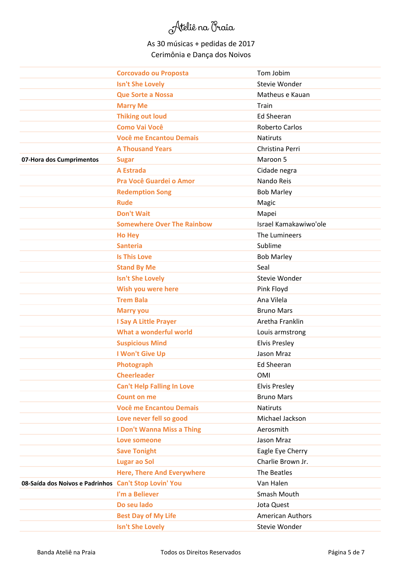|                                                       | <b>Corcovado ou Proposta</b>      | Tom Jobim               |
|-------------------------------------------------------|-----------------------------------|-------------------------|
|                                                       | <b>Isn't She Lovely</b>           | Stevie Wonder           |
|                                                       | <b>Que Sorte a Nossa</b>          | Matheus e Kauan         |
|                                                       | <b>Marry Me</b>                   | Train                   |
|                                                       | <b>Thiking out loud</b>           | <b>Ed Sheeran</b>       |
|                                                       | <b>Como Vai Você</b>              | <b>Roberto Carlos</b>   |
|                                                       | <b>Você me Encantou Demais</b>    | <b>Natiruts</b>         |
|                                                       | <b>A Thousand Years</b>           | Christina Perri         |
| 07-Hora dos Cumprimentos                              | <b>Sugar</b>                      | Maroon 5                |
|                                                       | <b>A Estrada</b>                  | Cidade negra            |
|                                                       | Pra Você Guardei o Amor           | Nando Reis              |
|                                                       | <b>Redemption Song</b>            | <b>Bob Marley</b>       |
|                                                       | <b>Rude</b>                       | Magic                   |
|                                                       | <b>Don't Wait</b>                 | Mapei                   |
|                                                       | <b>Somewhere Over The Rainbow</b> | Israel Kamakawiwo'ole   |
|                                                       | <b>Ho Hey</b>                     | The Lumineers           |
|                                                       | <b>Santeria</b>                   | Sublime                 |
|                                                       | <b>Is This Love</b>               | <b>Bob Marley</b>       |
|                                                       | <b>Stand By Me</b>                | Seal                    |
|                                                       | <b>Isn't She Lovely</b>           | Stevie Wonder           |
|                                                       | Wish you were here                | Pink Floyd              |
|                                                       | <b>Trem Bala</b>                  | Ana Vilela              |
|                                                       | <b>Marry you</b>                  | <b>Bruno Mars</b>       |
|                                                       | <b>I Say A Little Prayer</b>      | Aretha Franklin         |
|                                                       | What a wonderful world            | Louis armstrong         |
|                                                       | <b>Suspicious Mind</b>            | <b>Elvis Presley</b>    |
|                                                       | I Won't Give Up                   | Jason Mraz              |
|                                                       | Photograph                        | <b>Ed Sheeran</b>       |
|                                                       | <b>Cheerleader</b>                | <b>OMI</b>              |
|                                                       | <b>Can't Help Falling In Love</b> | <b>Elvis Presley</b>    |
|                                                       | <b>Count on me</b>                | <b>Bruno Mars</b>       |
|                                                       | <b>Você me Encantou Demais</b>    | <b>Natiruts</b>         |
|                                                       | Love never fell so good           | Michael Jackson         |
|                                                       | I Don't Wanna Miss a Thing        | Aerosmith               |
|                                                       | Love someone                      | Jason Mraz              |
|                                                       | <b>Save Tonight</b>               | Eagle Eye Cherry        |
|                                                       | <b>Lugar ao Sol</b>               | Charlie Brown Jr.       |
|                                                       | <b>Here, There And Everywhere</b> | The Beatles             |
| 08-Saída dos Noivos e Padrinhos Can't Stop Lovin' You |                                   | Van Halen               |
|                                                       | I'm a Believer                    | Smash Mouth             |
|                                                       | Do seu lado                       | Jota Quest              |
|                                                       | <b>Best Day of My Life</b>        | <b>American Authors</b> |
|                                                       | <b>Isn't She Lovely</b>           | Stevie Wonder           |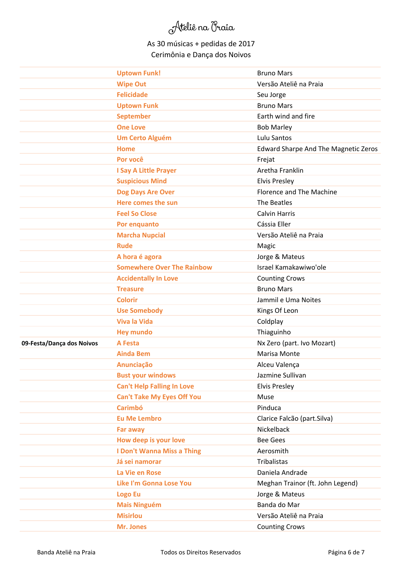|                           | <b>Uptown Funk!</b>               | <b>Bruno Mars</b>                           |
|---------------------------|-----------------------------------|---------------------------------------------|
|                           | <b>Wipe Out</b>                   | Versão Ateliê na Praia                      |
|                           | <b>Felicidade</b>                 | Seu Jorge                                   |
|                           | <b>Uptown Funk</b>                | <b>Bruno Mars</b>                           |
|                           | <b>September</b>                  | Earth wind and fire                         |
|                           | <b>One Love</b>                   | <b>Bob Marley</b>                           |
|                           | <b>Um Certo Alguém</b>            | Lulu Santos                                 |
|                           | <b>Home</b>                       | <b>Edward Sharpe And The Magnetic Zeros</b> |
|                           | Por você                          | Frejat                                      |
|                           | <b>I Say A Little Prayer</b>      | Aretha Franklin                             |
|                           | <b>Suspicious Mind</b>            | <b>Elvis Presley</b>                        |
|                           | Dog Days Are Over                 | Florence and The Machine                    |
|                           | Here comes the sun                | The Beatles                                 |
|                           | <b>Feel So Close</b>              | <b>Calvin Harris</b>                        |
|                           | Por enquanto                      | Cássia Eller                                |
|                           | <b>Marcha Nupcial</b>             | Versão Ateliê na Praia                      |
|                           | <b>Rude</b>                       | Magic                                       |
|                           | A hora é agora                    | Jorge & Mateus                              |
|                           | <b>Somewhere Over The Rainbow</b> | Israel Kamakawiwo'ole                       |
|                           | <b>Accidentally In Love</b>       | <b>Counting Crows</b>                       |
|                           | <b>Treasure</b>                   | <b>Bruno Mars</b>                           |
|                           | <b>Colorir</b>                    | Jammil e Uma Noites                         |
|                           | <b>Use Somebody</b>               | Kings Of Leon                               |
|                           | <b>Viva la Vida</b>               | Coldplay                                    |
|                           | <b>Hey mundo</b>                  | Thiaguinho                                  |
| 09-Festa/Dança dos Noivos | <b>A Festa</b>                    | Nx Zero (part. Ivo Mozart)                  |
|                           | <b>Ainda Bem</b>                  | Marisa Monte                                |
|                           | Anunciação                        | Alceu Valença                               |
|                           | <b>Bust your windows</b>          | Jazmine Sullivan                            |
|                           | <b>Can't Help Falling In Love</b> | <b>Elvis Presley</b>                        |
|                           | <b>Can't Take My Eyes Off You</b> | Muse                                        |
|                           | <b>Carimbó</b>                    | Pinduca                                     |
|                           | <b>Eu Me Lembro</b>               | Clarice Falcão (part.Silva)                 |
|                           | Far away                          | Nickelback                                  |
|                           | How deep is your love             | <b>Bee Gees</b>                             |
|                           | I Don't Wanna Miss a Thing        | Aerosmith                                   |
|                           | Já sei namorar                    | Tribalistas                                 |
|                           | La Vie en Rose                    | Daniela Andrade                             |
|                           | <b>Like I'm Gonna Lose You</b>    | Meghan Trainor (ft. John Legend)            |
|                           | <b>Logo Eu</b>                    | Jorge & Mateus                              |
|                           | <b>Mais Ninguém</b>               | Banda do Mar                                |
|                           | <b>Misirlou</b>                   | Versão Ateliê na Praia                      |
|                           | Mr. Jones                         | <b>Counting Crows</b>                       |